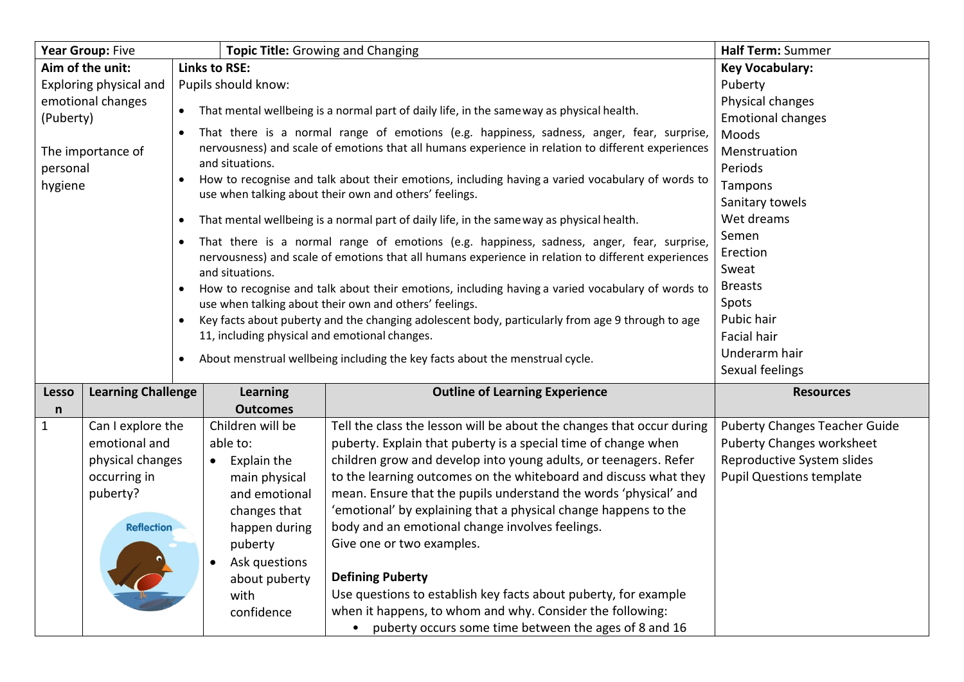| Year Group: Five                         |                           |                                                                                                    | <b>Topic Title: Growing and Changing</b>      |                                                                                                    | Half Term: Summer                    |
|------------------------------------------|---------------------------|----------------------------------------------------------------------------------------------------|-----------------------------------------------|----------------------------------------------------------------------------------------------------|--------------------------------------|
| <b>Links to RSE:</b><br>Aim of the unit: |                           |                                                                                                    |                                               | <b>Key Vocabulary:</b>                                                                             |                                      |
| Exploring physical and                   |                           | Pupils should know:                                                                                |                                               |                                                                                                    | Puberty                              |
| emotional changes<br>(Puberty)           |                           | That mental wellbeing is a normal part of daily life, in the same way as physical health.          |                                               |                                                                                                    | Physical changes                     |
|                                          |                           | $\bullet$                                                                                          |                                               |                                                                                                    | <b>Emotional changes</b>             |
|                                          |                           | That there is a normal range of emotions (e.g. happiness, sadness, anger, fear, surprise,          |                                               |                                                                                                    | Moods                                |
|                                          | The importance of         | nervousness) and scale of emotions that all humans experience in relation to different experiences |                                               |                                                                                                    | Menstruation                         |
| personal                                 |                           |                                                                                                    | and situations.                               |                                                                                                    | Periods                              |
| hygiene                                  |                           | $\bullet$                                                                                          |                                               | How to recognise and talk about their emotions, including having a varied vocabulary of words to   | Tampons                              |
|                                          |                           | use when talking about their own and others' feelings.                                             |                                               |                                                                                                    | Sanitary towels                      |
|                                          |                           |                                                                                                    |                                               | That mental wellbeing is a normal part of daily life, in the sameway as physical health.           | Wet dreams                           |
|                                          |                           |                                                                                                    |                                               | That there is a normal range of emotions (e.g. happiness, sadness, anger, fear, surprise,          | Semen                                |
|                                          |                           |                                                                                                    |                                               | nervousness) and scale of emotions that all humans experience in relation to different experiences | Erection                             |
|                                          |                           | and situations.                                                                                    |                                               | Sweat                                                                                              |                                      |
|                                          |                           |                                                                                                    |                                               | How to recognise and talk about their emotions, including having a varied vocabulary of words to   | <b>Breasts</b>                       |
|                                          |                           | use when talking about their own and others' feelings.                                             |                                               |                                                                                                    | Spots                                |
|                                          |                           | Key facts about puberty and the changing adolescent body, particularly from age 9 through to age   |                                               |                                                                                                    | Pubic hair                           |
|                                          |                           |                                                                                                    | 11, including physical and emotional changes. |                                                                                                    | <b>Facial hair</b>                   |
|                                          |                           |                                                                                                    |                                               | About menstrual wellbeing including the key facts about the menstrual cycle.                       | Underarm hair                        |
|                                          |                           |                                                                                                    |                                               |                                                                                                    | Sexual feelings                      |
| <b>Lesso</b>                             | <b>Learning Challenge</b> |                                                                                                    | <b>Learning</b>                               | <b>Outline of Learning Experience</b>                                                              | <b>Resources</b>                     |
| n                                        |                           |                                                                                                    | <b>Outcomes</b>                               |                                                                                                    |                                      |
| $\mathbf{1}$                             | Can I explore the         |                                                                                                    | Children will be                              | Tell the class the lesson will be about the changes that occur during                              | <b>Puberty Changes Teacher Guide</b> |
|                                          | emotional and             |                                                                                                    | able to:                                      | puberty. Explain that puberty is a special time of change when                                     | <b>Puberty Changes worksheet</b>     |
|                                          | physical changes          |                                                                                                    | Explain the<br>$\bullet$                      | children grow and develop into young adults, or teenagers. Refer                                   | Reproductive System slides           |
|                                          | occurring in              |                                                                                                    | main physical                                 | to the learning outcomes on the whiteboard and discuss what they                                   | <b>Pupil Questions template</b>      |
|                                          | puberty?                  |                                                                                                    | and emotional                                 | mean. Ensure that the pupils understand the words 'physical' and                                   |                                      |
|                                          |                           |                                                                                                    | changes that                                  | 'emotional' by explaining that a physical change happens to the                                    |                                      |
|                                          | <b>Reflection</b>         |                                                                                                    | happen during                                 | body and an emotional change involves feelings.                                                    |                                      |
|                                          |                           |                                                                                                    | puberty                                       | Give one or two examples.                                                                          |                                      |
|                                          |                           |                                                                                                    | Ask questions                                 |                                                                                                    |                                      |
|                                          |                           |                                                                                                    | about puberty                                 | <b>Defining Puberty</b>                                                                            |                                      |
|                                          |                           |                                                                                                    | with                                          | Use questions to establish key facts about puberty, for example                                    |                                      |
|                                          |                           |                                                                                                    | confidence                                    | when it happens, to whom and why. Consider the following:                                          |                                      |
|                                          |                           |                                                                                                    |                                               | • puberty occurs some time between the ages of 8 and 16                                            |                                      |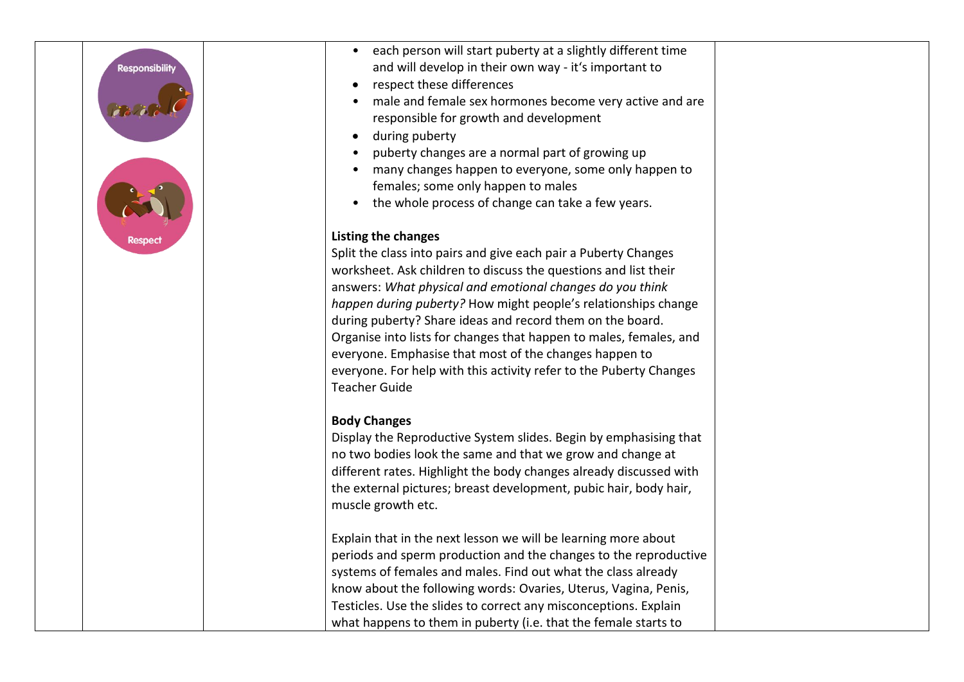# **Responsibilit**



- each person will start puberty at a slightly different time and will develop in their own way - it's important to
- respect these differences
- male and female sex hormones become very active and are responsible for growth and development
- during puberty
- puberty changes are a normal part of growing up
- many changes happen to everyone, some only happen to females; some only happen to males
- the whole process of change can take a few years.

# **Listing the changes**

Split the class into pairs and give each pair a Puberty Changes worksheet. Ask children to discuss the questions and list their answers: *What physical and emotional changes do you think happen during puberty?* How might people's relationships change during puberty? Share ideas and record them on the board. Organise into lists for changes that happen to males, females, and everyone. Emphasise that most of the changes happen to everyone. For help with this activity refer to the Puberty Changes Teacher Guide

# **Body Changes**

Display the Reproductive System slides. Begin by emphasising that no two bodies look the same and that we grow and change at different rates. Highlight the body changes already discussed with the external pictures; breast development, pubic hair, body hair, muscle growth etc.

Explain that in the next lesson we will be learning more about periods and sperm production and the changes to the reproductive systems of females and males. Find out what the class already know about the following words: Ovaries, Uterus, Vagina, Penis, Testicles. Use the slides to correct any misconceptions. Explain what happens to them in puberty (i.e. that the female starts to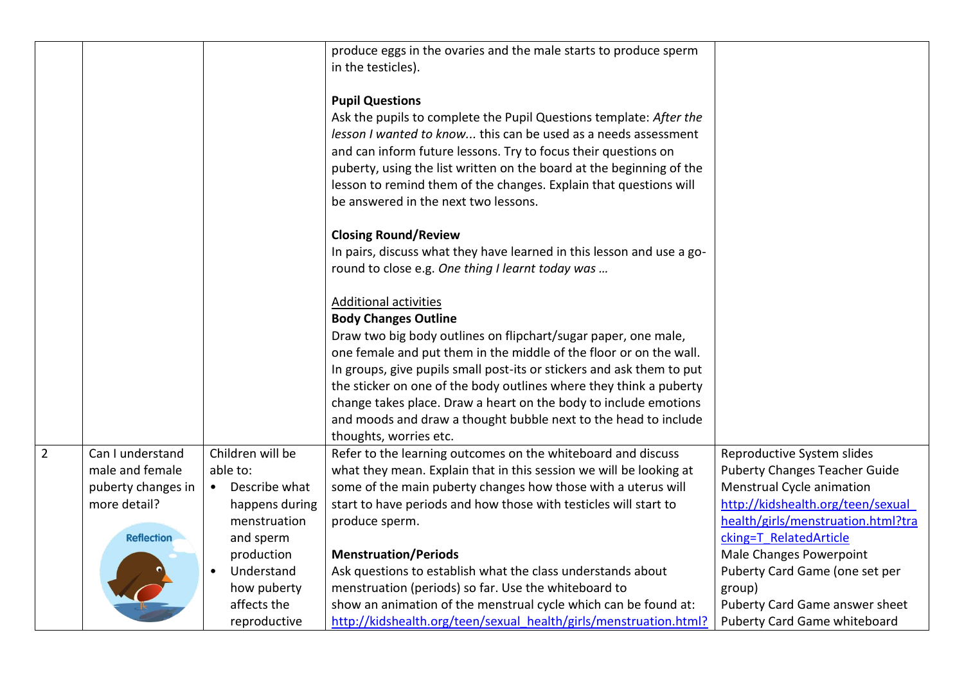|                |                    |                  | produce eggs in the ovaries and the male starts to produce sperm<br>in the testicles).                                                                                                                                                                                                                                                                                                                                |                                      |
|----------------|--------------------|------------------|-----------------------------------------------------------------------------------------------------------------------------------------------------------------------------------------------------------------------------------------------------------------------------------------------------------------------------------------------------------------------------------------------------------------------|--------------------------------------|
|                |                    |                  | <b>Pupil Questions</b><br>Ask the pupils to complete the Pupil Questions template: After the<br>lesson I wanted to know this can be used as a needs assessment<br>and can inform future lessons. Try to focus their questions on<br>puberty, using the list written on the board at the beginning of the<br>lesson to remind them of the changes. Explain that questions will<br>be answered in the next two lessons. |                                      |
|                |                    |                  | <b>Closing Round/Review</b><br>In pairs, discuss what they have learned in this lesson and use a go-<br>round to close e.g. One thing I learnt today was                                                                                                                                                                                                                                                              |                                      |
|                |                    |                  | <b>Additional activities</b><br><b>Body Changes Outline</b>                                                                                                                                                                                                                                                                                                                                                           |                                      |
|                |                    |                  | Draw two big body outlines on flipchart/sugar paper, one male,<br>one female and put them in the middle of the floor or on the wall.                                                                                                                                                                                                                                                                                  |                                      |
|                |                    |                  | In groups, give pupils small post-its or stickers and ask them to put<br>the sticker on one of the body outlines where they think a puberty                                                                                                                                                                                                                                                                           |                                      |
|                |                    |                  | change takes place. Draw a heart on the body to include emotions<br>and moods and draw a thought bubble next to the head to include<br>thoughts, worries etc.                                                                                                                                                                                                                                                         |                                      |
| $\overline{2}$ | Can I understand   | Children will be | Refer to the learning outcomes on the whiteboard and discuss                                                                                                                                                                                                                                                                                                                                                          | Reproductive System slides           |
|                | male and female    | able to:         | what they mean. Explain that in this session we will be looking at                                                                                                                                                                                                                                                                                                                                                    | <b>Puberty Changes Teacher Guide</b> |
|                | puberty changes in | • Describe what  | some of the main puberty changes how those with a uterus will                                                                                                                                                                                                                                                                                                                                                         | Menstrual Cycle animation            |
|                | more detail?       | happens during   | start to have periods and how those with testicles will start to                                                                                                                                                                                                                                                                                                                                                      | http://kidshealth.org/teen/sexual    |
|                |                    | menstruation     | produce sperm.                                                                                                                                                                                                                                                                                                                                                                                                        | health/girls/menstruation.html?tra   |
|                | <b>Reflection</b>  | and sperm        |                                                                                                                                                                                                                                                                                                                                                                                                                       | cking=T RelatedArticle               |
|                |                    | production       | <b>Menstruation/Periods</b>                                                                                                                                                                                                                                                                                                                                                                                           | Male Changes Powerpoint              |
|                |                    | Understand       | Ask questions to establish what the class understands about                                                                                                                                                                                                                                                                                                                                                           | Puberty Card Game (one set per       |
|                |                    | how puberty      | menstruation (periods) so far. Use the whiteboard to                                                                                                                                                                                                                                                                                                                                                                  | group)                               |
|                |                    | affects the      | show an animation of the menstrual cycle which can be found at:                                                                                                                                                                                                                                                                                                                                                       | Puberty Card Game answer sheet       |
|                |                    | reproductive     | http://kidshealth.org/teen/sexual_health/girls/menstruation.html?                                                                                                                                                                                                                                                                                                                                                     | <b>Puberty Card Game whiteboard</b>  |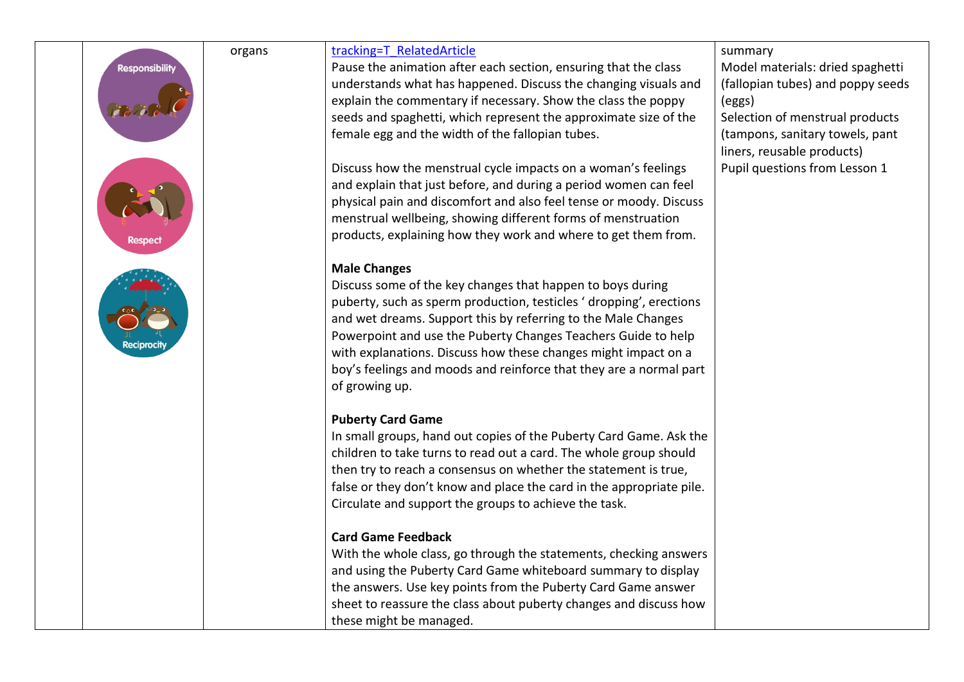| <b>Responsibility</b> | organs | tracking=T RelatedArticle<br>Pause the animation after each section, ensuring that the class<br>understands what has happened. Discuss the changing visuals and<br>explain the commentary if necessary. Show the class the poppy<br>seeds and spaghetti, which represent the approximate size of the<br>female egg and the width of the fallopian tubes.<br>Discuss how the menstrual cycle impacts on a woman's feelings<br>and explain that just before, and during a period women can feel<br>physical pain and discomfort and also feel tense or moody. Discuss<br>menstrual wellbeing, showing different forms of menstruation<br>products, explaining how they work and where to get them from.<br><b>Male Changes</b><br>Discuss some of the key changes that happen to boys during<br>puberty, such as sperm production, testicles 'dropping', erections<br>and wet dreams. Support this by referring to the Male Changes<br>Powerpoint and use the Puberty Changes Teachers Guide to help<br>with explanations. Discuss how these changes might impact on a<br>boy's feelings and moods and reinforce that they are a normal part<br>of growing up. | summary<br>Model materials: dried spaghetti<br>(fallopian tubes) and poppy seeds<br>(eggs)<br>Selection of menstrual products<br>(tampons, sanitary towels, pant<br>liners, reusable products)<br>Pupil questions from Lesson 1 |
|-----------------------|--------|--------------------------------------------------------------------------------------------------------------------------------------------------------------------------------------------------------------------------------------------------------------------------------------------------------------------------------------------------------------------------------------------------------------------------------------------------------------------------------------------------------------------------------------------------------------------------------------------------------------------------------------------------------------------------------------------------------------------------------------------------------------------------------------------------------------------------------------------------------------------------------------------------------------------------------------------------------------------------------------------------------------------------------------------------------------------------------------------------------------------------------------------------------------|---------------------------------------------------------------------------------------------------------------------------------------------------------------------------------------------------------------------------------|
|                       |        | <b>Puberty Card Game</b><br>In small groups, hand out copies of the Puberty Card Game. Ask the<br>children to take turns to read out a card. The whole group should<br>then try to reach a consensus on whether the statement is true,<br>false or they don't know and place the card in the appropriate pile.<br>Circulate and support the groups to achieve the task.                                                                                                                                                                                                                                                                                                                                                                                                                                                                                                                                                                                                                                                                                                                                                                                      |                                                                                                                                                                                                                                 |
|                       |        | <b>Card Game Feedback</b><br>With the whole class, go through the statements, checking answers<br>and using the Puberty Card Game whiteboard summary to display<br>the answers. Use key points from the Puberty Card Game answer<br>sheet to reassure the class about puberty changes and discuss how<br>these might be managed.                                                                                                                                                                                                                                                                                                                                                                                                                                                                                                                                                                                                                                                                                                                                                                                                                             |                                                                                                                                                                                                                                 |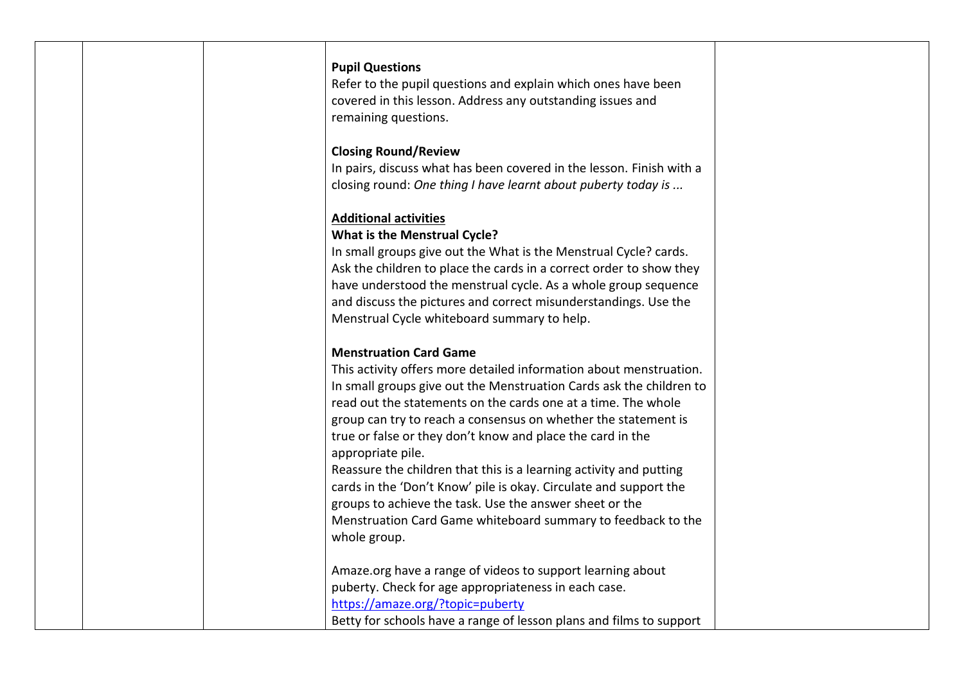### **Pupil Questions**

Refer to the pupil questions and explain which ones have been covered in this lesson. Address any outstanding issues and remaining questions.

### **Closing Round/Review**

In pairs, discuss what has been covered in the lesson. Finish with a closing round: *One thing I have learnt about puberty today is ...*

### **Additional activities**

### **What is the Menstrual Cycle?**

In small groups give out the What is the Menstrual Cycle? cards. Ask the children to place the cards in a correct order to show they have understood the menstrual cycle. As a whole group sequence and discuss the pictures and correct misunderstandings. Use the Menstrual Cycle whiteboard summary to help.

### **Menstruation Card Game**

This activity offers more detailed information about menstruation. In small groups give out the Menstruation Cards ask the children to read out the statements on the cards one at a time. The whole group can try to reach a consensus on whether the statement is true or false or they don't know and place the card in the appropriate pile.

Reassure the children that this is a learning activity and putting cards in the 'Don't Know' pile is okay. Circulate and support the groups to achieve the task. Use the answer sheet or the Menstruation Card Game whiteboard summary to feedback to the whole group.

Amaze.org have a range of videos to support learning about puberty. Check for age appropriateness in each case. <https://amaze.org/?topic=puberty> Betty for schools have a range of lesson plans and films to support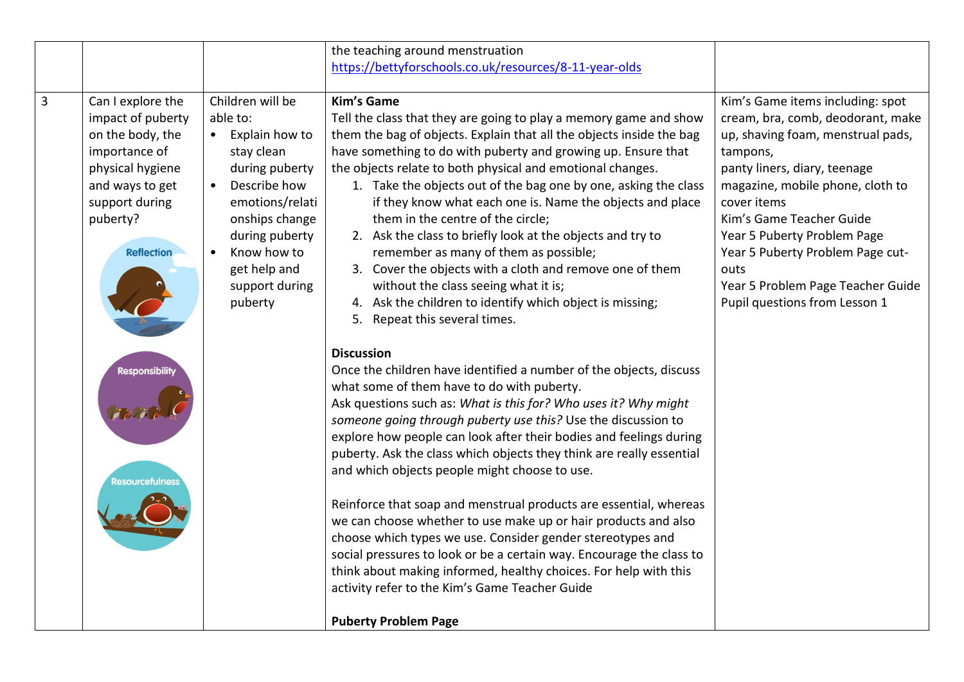|                |                                                                                                                                                                       |                                                                                                                                                                                                                                  | the teaching around menstruation                                                                                                                                                                                                                                                                                                                                                                                                                                                                                                                                                                                                                                                                                                                                                                                                                                                                           |                                                                                                                                                                                                                                                                                                                                                                                        |
|----------------|-----------------------------------------------------------------------------------------------------------------------------------------------------------------------|----------------------------------------------------------------------------------------------------------------------------------------------------------------------------------------------------------------------------------|------------------------------------------------------------------------------------------------------------------------------------------------------------------------------------------------------------------------------------------------------------------------------------------------------------------------------------------------------------------------------------------------------------------------------------------------------------------------------------------------------------------------------------------------------------------------------------------------------------------------------------------------------------------------------------------------------------------------------------------------------------------------------------------------------------------------------------------------------------------------------------------------------------|----------------------------------------------------------------------------------------------------------------------------------------------------------------------------------------------------------------------------------------------------------------------------------------------------------------------------------------------------------------------------------------|
|                |                                                                                                                                                                       |                                                                                                                                                                                                                                  | https://bettyforschools.co.uk/resources/8-11-year-olds                                                                                                                                                                                                                                                                                                                                                                                                                                                                                                                                                                                                                                                                                                                                                                                                                                                     |                                                                                                                                                                                                                                                                                                                                                                                        |
|                |                                                                                                                                                                       |                                                                                                                                                                                                                                  |                                                                                                                                                                                                                                                                                                                                                                                                                                                                                                                                                                                                                                                                                                                                                                                                                                                                                                            |                                                                                                                                                                                                                                                                                                                                                                                        |
| $\overline{3}$ | Can I explore the<br>impact of puberty<br>on the body, the<br>importance of<br>physical hygiene<br>and ways to get<br>support during<br>puberty?<br><b>Reflection</b> | Children will be<br>able to:<br>• Explain how to<br>stay clean<br>during puberty<br>Describe how<br>$\bullet$<br>emotions/relati<br>onships change<br>during puberty<br>Know how to<br>get help and<br>support during<br>puberty | <b>Kim's Game</b><br>Tell the class that they are going to play a memory game and show<br>them the bag of objects. Explain that all the objects inside the bag<br>have something to do with puberty and growing up. Ensure that<br>the objects relate to both physical and emotional changes.<br>1. Take the objects out of the bag one by one, asking the class<br>if they know what each one is. Name the objects and place<br>them in the centre of the circle;<br>2. Ask the class to briefly look at the objects and try to<br>remember as many of them as possible;<br>3. Cover the objects with a cloth and remove one of them<br>without the class seeing what it is;<br>4. Ask the children to identify which object is missing;<br>5. Repeat this several times.                                                                                                                                 | Kim's Game items including: spot<br>cream, bra, comb, deodorant, make<br>up, shaving foam, menstrual pads,<br>tampons,<br>panty liners, diary, teenage<br>magazine, mobile phone, cloth to<br>cover items<br>Kim's Game Teacher Guide<br>Year 5 Puberty Problem Page<br>Year 5 Puberty Problem Page cut-<br>outs<br>Year 5 Problem Page Teacher Guide<br>Pupil questions from Lesson 1 |
|                | <b>Responsibility</b><br>esourcefulnes                                                                                                                                |                                                                                                                                                                                                                                  | <b>Discussion</b><br>Once the children have identified a number of the objects, discuss<br>what some of them have to do with puberty.<br>Ask questions such as: What is this for? Who uses it? Why might<br>someone going through puberty use this? Use the discussion to<br>explore how people can look after their bodies and feelings during<br>puberty. Ask the class which objects they think are really essential<br>and which objects people might choose to use.<br>Reinforce that soap and menstrual products are essential, whereas<br>we can choose whether to use make up or hair products and also<br>choose which types we use. Consider gender stereotypes and<br>social pressures to look or be a certain way. Encourage the class to<br>think about making informed, healthy choices. For help with this<br>activity refer to the Kim's Game Teacher Guide<br><b>Puberty Problem Page</b> |                                                                                                                                                                                                                                                                                                                                                                                        |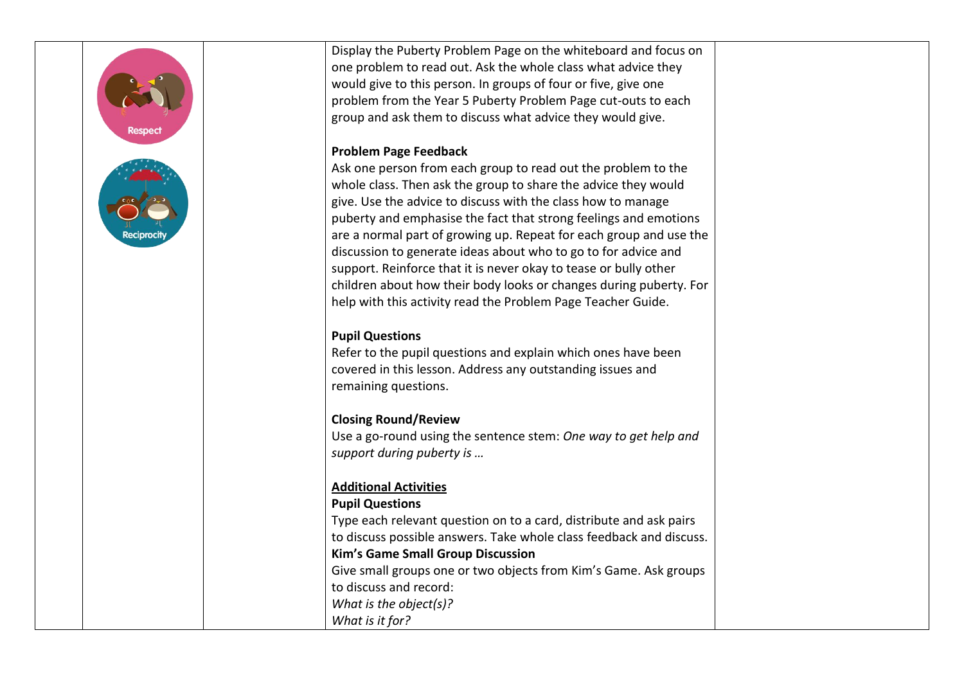Display the Puberty Problem Page on the whiteboard and focus on one problem to read out. Ask the whole class what advice they would give to this person. In groups of four or five, give one problem from the Year 5 Puberty Problem Page cut-outs to each group and ask them to discuss what advice they would give. **Problem Page Feedback** Ask one person from each group to read out the problem to the whole class. Then ask the group to share the advice they would give. Use the advice to discuss with the class how to manage puberty and emphasise the fact that strong feelings and emotions are a normal part of growing up. Repeat for each group and use the discussion to generate ideas about who to go to for advice and support. Reinforce that it is never okay to tease or bully other children about how their body looks or changes during puberty. For help with this activity read the Problem Page Teacher Guide. **Pupil Questions** Refer to the pupil questions and explain which ones have been covered in this lesson. Address any outstanding issues and remaining questions. **Closing Round/Review** Use a go-round using the sentence stem: *One way to get help and support during puberty is …*

## **Additional Activities**

### **Pupil Questions**

Type each relevant question on to a card, distribute and ask pairs to discuss possible answers. Take whole class feedback and discuss. **Kim's Game Small Group Discussion** Give small groups one or two objects from Kim's Game. Ask groups to discuss and record: *What is the object(s)?*

*What is it for?*